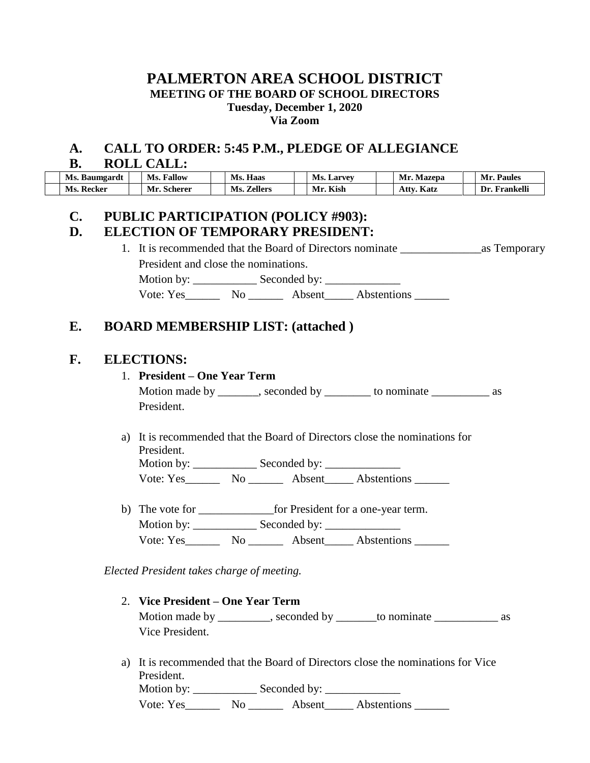## **PALMERTON AREA SCHOOL DISTRICT MEETING OF THE BOARD OF SCHOOL DIRECTORS Tuesday, December 1, 2020 Via Zoom**

### **A. CALL TO ORDER: 5:45 P.M., PLEDGE OF ALLEGIANCE B. ROLL CALL:**

| Ms. Baumgardt | Fallow<br>Ms. | Ms.<br>Haas    | Ms.<br>. Larvev | <b>Mazepa</b><br>$\mathbf{M}$ r | M <sub>I</sub><br><b>Paules</b> |
|---------------|---------------|----------------|-----------------|---------------------------------|---------------------------------|
| Ms. Recker    | Mr. Scherer   | Ms.<br>Zellers | Mr. Kish        | $\mathbf{r}$<br>Attv.<br>Katz   | Frankelli<br>Dr.                |

# **C. PUBLIC PARTICIPATION (POLICY #903):**

## **D. ELECTION OF TEMPORARY PRESIDENT:**

1. It is recommended that the Board of Directors nominate \_\_\_\_\_\_\_\_\_\_\_\_\_\_as Temporary President and close the nominations. Motion by: \_\_\_\_\_\_\_\_\_\_\_ Seconded by: \_\_\_\_\_\_\_\_\_\_\_\_\_ Vote: Yes\_\_\_\_\_\_\_\_ No \_\_\_\_\_\_\_\_ Absent\_\_\_\_\_ Abstentions \_\_\_\_\_\_\_

# **E. BOARD MEMBERSHIP LIST: (attached )**

## **F. ELECTIONS:**

#### 1. **President – One Year Term**

Motion made by \_\_\_\_\_\_, seconded by \_\_\_\_\_\_\_ to nominate \_\_\_\_\_\_\_\_\_\_\_\_ as President.

a) It is recommended that the Board of Directors close the nominations for President. Motion by: \_\_\_\_\_\_\_\_\_\_\_ Seconded by: \_\_\_\_\_\_\_\_\_\_\_\_\_

Vote: Yes\_\_\_\_\_\_ No \_\_\_\_\_\_ Absent\_\_\_\_\_ Abstentions \_\_\_\_\_\_

b) The vote for **Example 2** for President for a one-year term. Motion by: \_\_\_\_\_\_\_\_\_\_\_\_\_\_ Seconded by: Vote: Yes\_\_\_\_\_\_\_\_ No \_\_\_\_\_\_\_ Absent\_\_\_\_\_ Abstentions \_\_\_\_\_\_\_

*Elected President takes charge of meeting.*

- 2. **Vice President – One Year Term** Motion made by \_\_\_\_\_\_\_, seconded by \_\_\_\_\_\_\_to nominate \_\_\_\_\_\_\_\_\_\_\_\_\_\_\_\_ as Vice President.
- a) It is recommended that the Board of Directors close the nominations for Vice President.

Motion by: \_\_\_\_\_\_\_\_\_\_\_ Seconded by: \_\_\_\_\_\_\_\_\_\_\_\_\_ Vote: Yes\_\_\_\_\_\_ No \_\_\_\_\_\_ Absent\_\_\_\_\_ Abstentions \_\_\_\_\_\_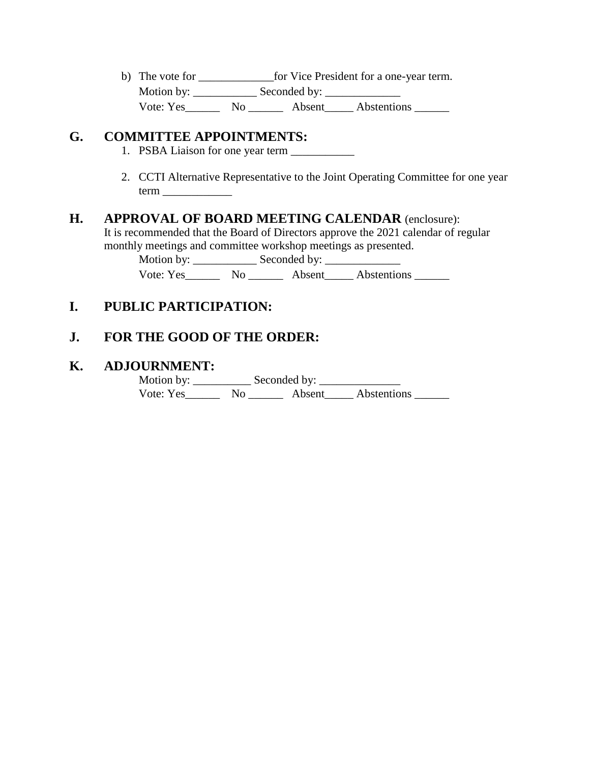b) The vote for \_\_\_\_\_\_\_\_\_\_\_\_\_\_\_\_for Vice President for a one-year term. Motion by: \_\_\_\_\_\_\_\_\_\_\_\_\_\_ Seconded by: \_\_\_\_\_\_\_\_\_\_\_\_\_\_\_\_\_ Vote: Yes\_\_\_\_\_\_\_\_ No \_\_\_\_\_\_\_ Absent\_\_\_\_\_\_ Abstentions \_\_\_\_\_\_

### **G. COMMITTEE APPOINTMENTS:**

- 1. PSBA Liaison for one year term \_\_\_\_\_\_\_\_\_\_\_
- 2. CCTI Alternative Representative to the Joint Operating Committee for one year term \_\_\_\_\_\_\_\_\_\_\_\_

# **H. APPROVAL OF BOARD MEETING CALENDAR** (enclosure):

It is recommended that the Board of Directors approve the 2021 calendar of regular monthly meetings and committee workshop meetings as presented.

Motion by: \_\_\_\_\_\_\_\_\_\_\_ Seconded by: \_\_\_\_\_\_\_\_\_\_\_\_\_ Vote: Yes\_\_\_\_\_\_\_\_ No \_\_\_\_\_\_\_ Absent\_\_\_\_\_\_ Abstentions \_\_\_\_\_\_\_

# **I. PUBLIC PARTICIPATION:**

# **J. FOR THE GOOD OF THE ORDER:**

## **K. ADJOURNMENT:**

 Motion by: \_\_\_\_\_\_\_\_\_\_ Seconded by: \_\_\_\_\_\_\_\_\_\_\_\_\_\_ Vote: Yes\_\_\_\_\_\_\_\_ No \_\_\_\_\_\_\_\_ Absent\_\_\_\_\_\_ Abstentions \_\_\_\_\_\_\_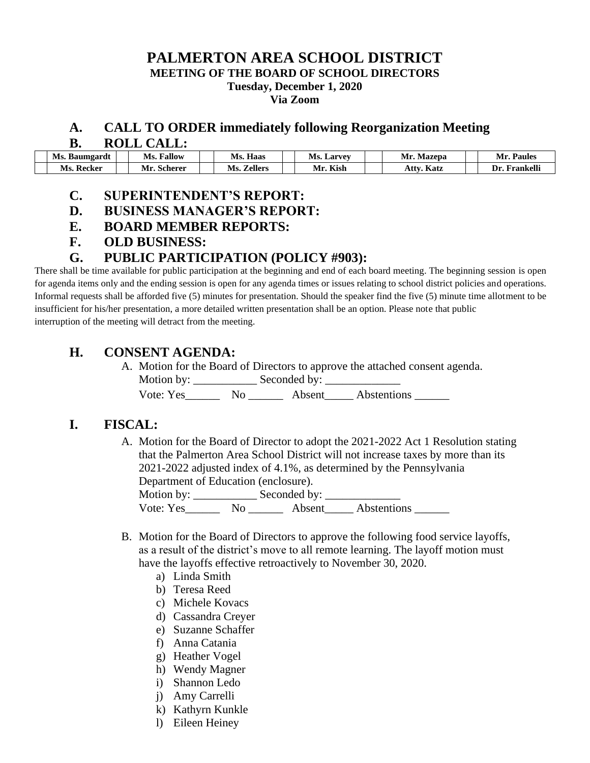### **PALMERTON AREA SCHOOL DISTRICT MEETING OF THE BOARD OF SCHOOL DIRECTORS Tuesday, December 1, 2020 Via Zoom**

# **A. CALL TO ORDER immediately following Reorganization Meeting**

**B. ROLL CALL:**

| Ms. Baumgardt  | Ms.<br>Fallow | $-$<br>Haas<br>VIS.   | Ms.<br>. Larvev      | <b>Mazepa</b><br>Mr  | Mı<br>Paules              |
|----------------|---------------|-----------------------|----------------------|----------------------|---------------------------|
| Ms<br>. Kecker | Scherer<br>Mı | <b>Zellers</b><br>Ms. | $\mathbf{v}$<br>Kıst | $\mathbf{r}$<br>Katz | $- -$<br>Frankell<br>. Ir |

#### **C. SUPERINTENDENT'S REPORT:**

- **D. BUSINESS MANAGER'S REPORT:**
- **E. BOARD MEMBER REPORTS:**
- **F. OLD BUSINESS:**

## **G. PUBLIC PARTICIPATION (POLICY #903):**

There shall be time available for public participation at the beginning and end of each board meeting. The beginning session is open for agenda items only and the ending session is open for any agenda times or issues relating to school district policies and operations. Informal requests shall be afforded five (5) minutes for presentation. Should the speaker find the five (5) minute time allotment to be insufficient for his/her presentation, a more detailed written presentation shall be an option. Please note that public interruption of the meeting will detract from the meeting.

## **H. CONSENT AGENDA:**

A. Motion for the Board of Directors to approve the attached consent agenda.

Motion by: \_\_\_\_\_\_\_\_\_\_\_ Seconded by: \_\_\_\_\_\_\_\_\_\_\_\_\_

Vote: Yes\_\_\_\_\_\_\_ No \_\_\_\_\_\_\_ Absent\_\_\_\_\_ Abstentions \_\_\_\_\_\_

## **I. FISCAL:**

A. Motion for the Board of Director to adopt the 2021-2022 Act 1 Resolution stating that the Palmerton Area School District will not increase taxes by more than its 2021-2022 adjusted index of 4.1%, as determined by the Pennsylvania Department of Education (enclosure).

Motion by: \_\_\_\_\_\_\_\_\_\_\_ Seconded by: \_\_\_\_\_\_\_\_\_\_\_\_\_ Vote: Yes\_\_\_\_\_\_\_\_ No \_\_\_\_\_\_\_ Absent\_\_\_\_\_\_ Abstentions \_\_\_\_\_\_\_

- B. Motion for the Board of Directors to approve the following food service layoffs, as a result of the district's move to all remote learning. The layoff motion must have the layoffs effective retroactively to November 30, 2020.
	- a) Linda Smith
	- b) Teresa Reed
	- c) Michele Kovacs
	- d) Cassandra Creyer
	- e) Suzanne Schaffer
	- f) Anna Catania
	- g) Heather Vogel
	- h) Wendy Magner
	- i) Shannon Ledo
	- j) Amy Carrelli
	- k) Kathyrn Kunkle
	- l) Eileen Heiney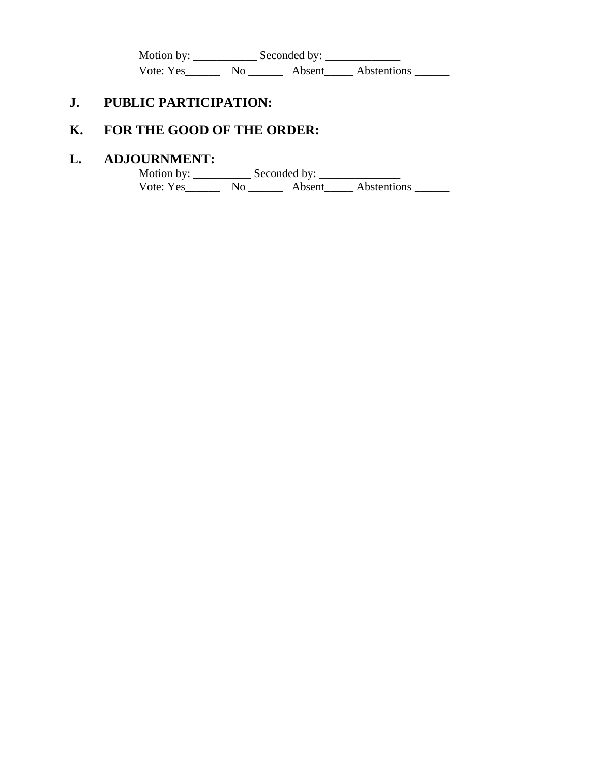Motion by: \_\_\_\_\_\_\_\_\_\_\_ Seconded by: \_\_\_\_\_\_\_\_\_\_\_\_\_ Vote: Yes\_\_\_\_\_\_\_\_ No \_\_\_\_\_\_\_\_ Absent\_\_\_\_\_\_ Abstentions \_\_\_\_\_\_\_

# **J. PUBLIC PARTICIPATION:**

# **K. FOR THE GOOD OF THE ORDER:**

# **L. ADJOURNMENT:**

 Motion by: \_\_\_\_\_\_\_\_\_\_ Seconded by: \_\_\_\_\_\_\_\_\_\_\_\_\_\_ Vote: Yes\_\_\_\_\_\_\_\_ No \_\_\_\_\_\_\_ Absent\_\_\_\_\_ Abstentions \_\_\_\_\_\_